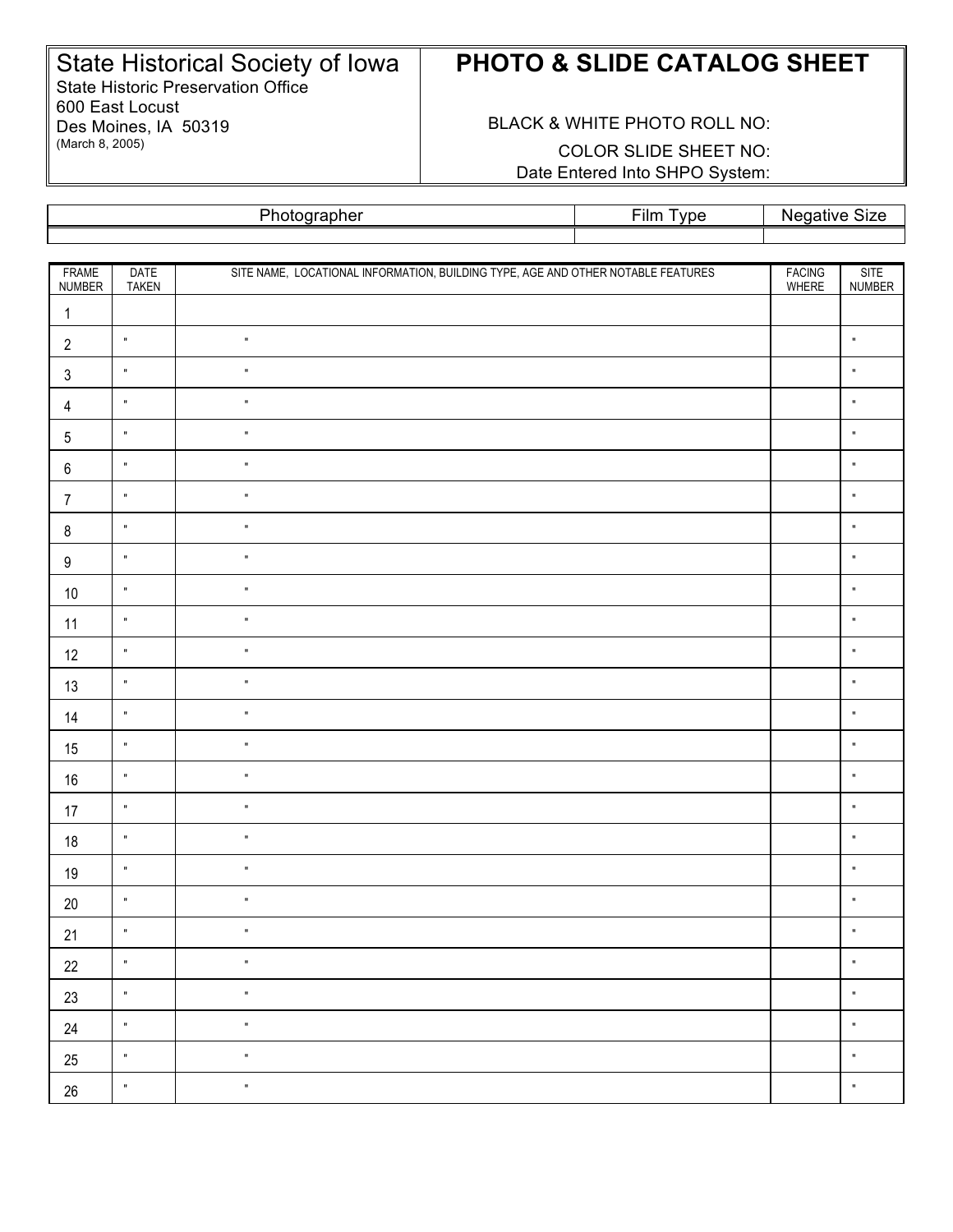State Historical Society of Iowa State Historic Preservation Office 600 East Locust Des Moines, IA 50319 (March 8, 2005)

## **PHOTO & SLIDE CATALOG SHEET**

BLACK & WHITE PHOTO ROLL NO: COLOR SLIDE SHEET NO: Date Entered Into SHPO System:

Photographer Film Type Negative Size

| FRAME<br>NUMBER  | <b>DATE</b><br><b>TAKEN</b> | SITE NAME, LOCATIONAL INFORMATION, BUILDING TYPE, AGE AND OTHER NOTABLE FEATURES | <b>FACING</b><br>WHERE | <b>SITE</b><br>NUMBER |
|------------------|-----------------------------|----------------------------------------------------------------------------------|------------------------|-----------------------|
| $\mathbf{1}$     |                             |                                                                                  |                        |                       |
| $\overline{2}$   | $\mathbf{u}$                | $\mathbf{u}$                                                                     |                        | $\mathbf{u}$          |
| $\sqrt{3}$       | $\mathbf{u}$                | $\blacksquare$                                                                   |                        | $\mathbf{u}$          |
| $\overline{4}$   | $\mathbf u$                 | $\mathbf{u}$                                                                     |                        | $\mathbf{u}$          |
| 5                | $\mathbf{u}$                | $\mathbf{u}$                                                                     |                        | $\mathbf{u}$          |
| $\,6\,$          | $\mathbf{u}$                | $\mathbf{u}$                                                                     |                        | $\mathbf{u}$          |
| $\overline{7}$   | $\mathbf u$                 | $\mathbf{u}$                                                                     |                        | $\mathbf{u}$          |
| $\bf 8$          | $\blacksquare$              | $\mathbf{u}$                                                                     |                        | $\mathbf{u}$          |
| $\boldsymbol{9}$ | $\mathbf{u}$                | $\mathbf{u}$                                                                     |                        | $\mathbf{u}$          |
| $10$             | $\mathbf u$                 | $\mathbf{u}$                                                                     |                        | $\mathbf{u}$          |
| 11               | $\mathbf{u}$                | $\mathbf{u}$                                                                     |                        | $\mathbf{u}$          |
| 12               | $\mathbf{u}$                | $\mathbf{u}$                                                                     |                        | $\mathbf{u}$          |
| 13               | $\mathbf u$                 | $\mathbf{u}$                                                                     |                        | $\mathbf{u}$          |
| 14               | $\mathbf{u}$                | $\mathbf{u}$                                                                     |                        | $\mathbf{u}$          |
| 15               | $\mathbf{u}$                | $\blacksquare$                                                                   |                        | $\mathbf{u}$          |
| $16\,$           | $\mathbf u$                 | $\mathbf{u}$                                                                     |                        | $\mathbf{u}$          |
| 17               | $\mathbf{u}$                | $\mathbf{u}$                                                                     |                        | $\mathbf{u}$          |
| $18$             | $\mathbf{u}$                | $\blacksquare$                                                                   |                        | $\mathbf u$           |
| 19               | $\mathbf u$                 | $\blacksquare$                                                                   |                        | $\mathbf{u}$          |
| $20\,$           | $\blacksquare$              | $\mathbf{u}$                                                                     |                        | $\mathbf{u}$          |
| 21               | $\mathbf u$                 | $\blacksquare$                                                                   |                        | $\mathbf u$           |
| $22\,$           | $\mathbf u$                 | $\mathbf{u}$                                                                     |                        | $\mathbf{u}$          |
| $23\,$           | $\mathbf{u}$                | $\mathbf{u}$                                                                     |                        | $\mathbf{u}$          |
| 24               | $\mathbf{u}$                | $\blacksquare$                                                                   |                        | $\mathbf{u}$          |
| $25\,$           | $\mathbf{u}$                | $\mathbf{u}$                                                                     |                        | $\mathbf{u}$          |
| $26\,$           | $\mathbf{u}$                | $\mathbf{u}$                                                                     |                        | $\mathbf{u}$          |